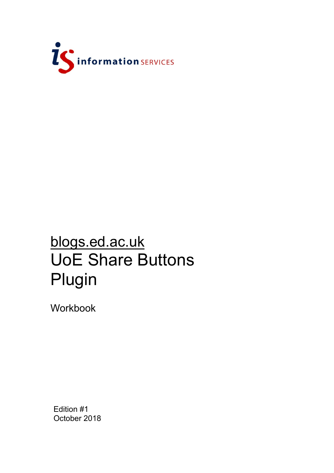

# blogs.ed.ac.uk UoE Share Buttons Plugin

Workbook

Edition #1 October 2018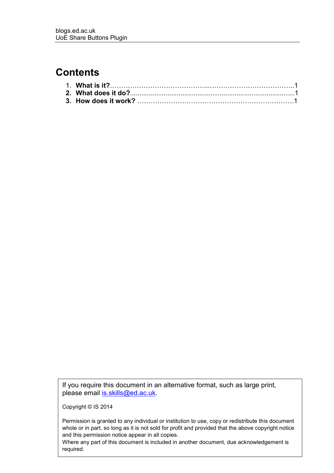#### **Contents**

If you require this document in an alternative format, such as large print, please email [is.skills@ed.ac.uk.](mailto:is.skills@ed.ac.uk)

Copyright © IS 2014

Permission is granted to any individual or institution to use, copy or redistribute this document whole or in part, so long as it is not sold for profit and provided that the above copyright notice and this permission notice appear in all copies.

Where any part of this document is included in another document, due acknowledgement is required.